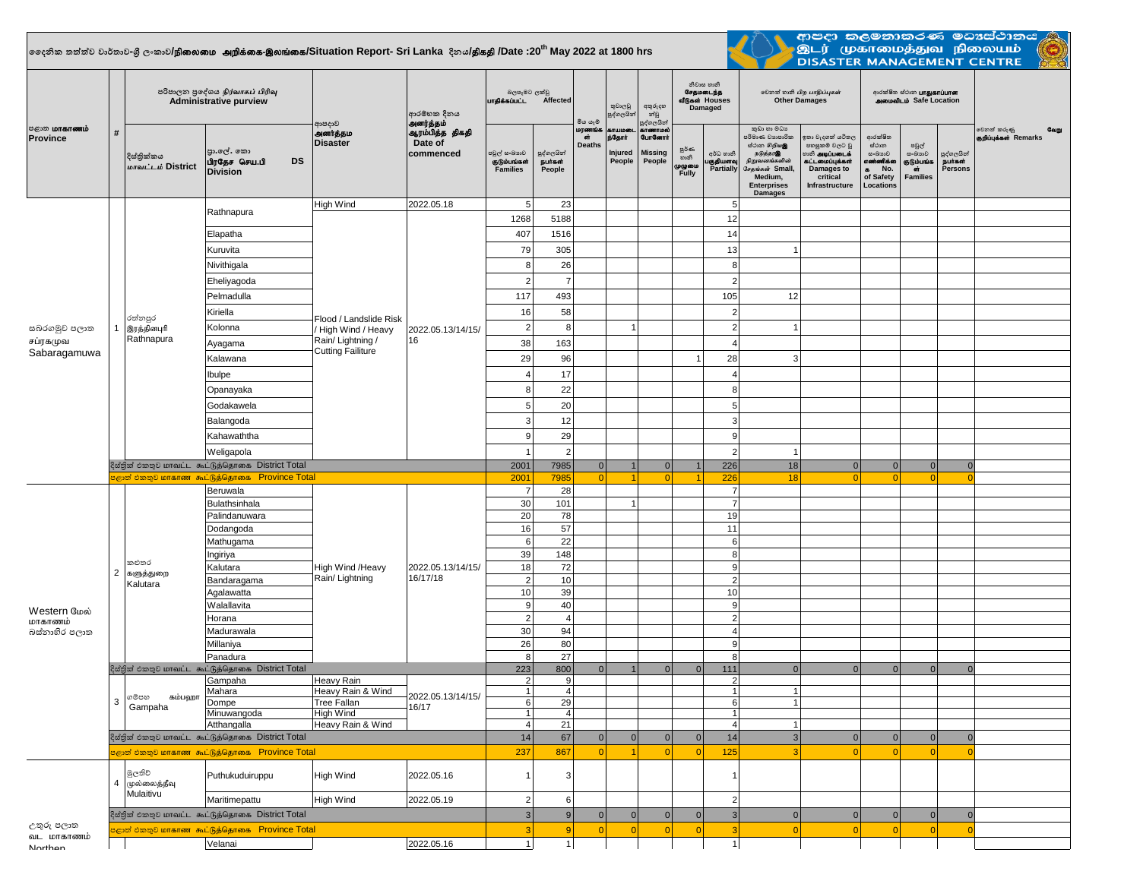## **දදනික තත්ත්ව වාර්තාව-ශ්රී ලංකාව/**epiyik mwpf;if-,yq;if**/Situation Report- Sri Lanka දිනය/**jpfjp **/Date :20th May 2022 at 1800 hrs**



ආපදා කලමනාකරණ මධාස්ථානය<br>මූ මූ (முகாமைத்துவ நிலையம் <mark>(ලූ)</mark><br>DISASTER MANAGEMENT CENTRE

| <b>ு</b> மாகாணம்<br>Province | # | පරිපාලන පුදේශය நிர்வாகப் பிரிவு<br><b>Administrative purview</b>                                                |                                                            |                                                                                               | ආරම්භක දිනය<br>அனர்த்தம்                | බලපෑමට ලක්වු<br>பாதிக்கப்பட்ட<br>Affected       |                                 | මිය යැම                      | තුවාලවු<br>පුද්ගලයින්                | අතුරුදහ<br>න්වූ                                        | නිවාස හානි<br>சேதமடைந்த<br>வீடுகள் Houses<br>Damaged<br>පුද්ගලයින් |                                    | லிகை மிற பாதிப்புகள்<br><b>Other Damages</b>                                                                                                       |                                                                                                                             | ආරක්ෂිත ස්ථාන <b>பாதுகாப்பான</b><br><b>AMMONILIO</b> Safe Location                    |                                                        |                                               |                                               |
|------------------------------|---|-----------------------------------------------------------------------------------------------------------------|------------------------------------------------------------|-----------------------------------------------------------------------------------------------|-----------------------------------------|-------------------------------------------------|---------------------------------|------------------------------|--------------------------------------|--------------------------------------------------------|--------------------------------------------------------------------|------------------------------------|----------------------------------------------------------------------------------------------------------------------------------------------------|-----------------------------------------------------------------------------------------------------------------------------|---------------------------------------------------------------------------------------|--------------------------------------------------------|-----------------------------------------------|-----------------------------------------------|
|                              |   | දිස්තික්කය<br>மாவட்டம் District                                                                                 | පා.ලේ. කො<br><b>DS</b><br>பிரதேச செய.பி<br><b>Division</b> | ආපදාව<br>அனர்த்தம<br><b>Disaster</b>                                                          | ஆரம்பித்த திகதி<br>Date of<br>commenced | පවුල් සංඛාගව<br>குடும்பங்கள்<br><b>Families</b> | පුද්ගලයින්<br>நபர்கள்<br>People | மரணங்<br>ள்<br><b>Deaths</b> | காயமல<br>ந்தோர்<br>Injured<br>People | காணாமல்<br><b>GunGernt</b><br><b>Missing</b><br>People | පූර්ණ<br>හානි<br>முழுமை<br>Fully                                   | අර්ධ හානි<br>குதியளவு<br>Partially | කුඩා හා මධා<br>පරිමාණ වාාපාරික<br>ස්ථාන හිඹු පෙ<br>நடுத்தரஇ<br>நிறுவனங்களின்<br>சேதங்கள் Small,<br>Medium,<br><b>Enterprises</b><br><b>Damages</b> | ඉතා වැදගත් යටිතල<br>පහසුකම් වලට වූ<br>ைக <b>் அடிப்படைக்</b><br>கட்டமைப்புக்கள்<br>Damages to<br>critical<br>Infrastructure | ආරක්ෂිත<br>ග්රාන<br>සංඛාගව<br>எண்ணிக்கை<br>No.<br>$\bullet$<br>of Safety<br>Locations | පවුල්<br>සංඛාගව<br>குடும்பங்க<br>GŤ<br><b>Families</b> | පුද්ගලයින්<br><b>நபாகள்</b><br><b>Persons</b> | වෙනත් කරුණු<br>Gaign<br>குறிப்புக்கள் Remarks |
|                              |   |                                                                                                                 | Rathnapura                                                 | High Wind                                                                                     | 2022.05.18                              | 5                                               | 23                              |                              |                                      |                                                        |                                                                    | 5                                  |                                                                                                                                                    |                                                                                                                             |                                                                                       |                                                        |                                               |                                               |
|                              |   |                                                                                                                 |                                                            | Flood / Landslide Risk<br>/ High Wind / Heavy<br>Rain/Lightning /<br><b>Cutting Failiture</b> |                                         | 1268                                            | 5188                            |                              |                                      |                                                        |                                                                    | 12                                 |                                                                                                                                                    |                                                                                                                             |                                                                                       |                                                        |                                               |                                               |
|                              |   |                                                                                                                 | Elapatha<br>Kuruvita                                       |                                                                                               |                                         | 407<br>79                                       | 1516<br>305                     |                              |                                      |                                                        |                                                                    | 14<br>13                           | -1                                                                                                                                                 |                                                                                                                             |                                                                                       |                                                        |                                               |                                               |
|                              |   |                                                                                                                 | Nivithigala                                                |                                                                                               |                                         | 8                                               | 26                              |                              |                                      |                                                        |                                                                    | 8                                  |                                                                                                                                                    |                                                                                                                             |                                                                                       |                                                        |                                               |                                               |
|                              |   |                                                                                                                 | Eheliyagoda                                                |                                                                                               |                                         | $\overline{2}$                                  | $\overline{7}$                  |                              |                                      |                                                        |                                                                    | $\overline{2}$                     |                                                                                                                                                    |                                                                                                                             |                                                                                       |                                                        |                                               |                                               |
|                              |   |                                                                                                                 | Pelmadulla                                                 |                                                                                               |                                         | 117                                             | 493                             |                              |                                      |                                                        |                                                                    | 105                                | 12                                                                                                                                                 |                                                                                                                             |                                                                                       |                                                        |                                               |                                               |
|                              |   |                                                                                                                 | Kiriella                                                   |                                                                                               | 2022.05.13/14/15/<br>16                 | 16                                              | 58                              |                              |                                      |                                                        |                                                                    | $\overline{2}$                     |                                                                                                                                                    |                                                                                                                             |                                                                                       |                                                        |                                               |                                               |
|                              |   | රත්නපුර<br>இரத்தினபுரி<br>Rathnapura                                                                            | Kolonna                                                    |                                                                                               |                                         | $\overline{2}$                                  | 8                               |                              | 1                                    |                                                        |                                                                    | $\overline{2}$                     |                                                                                                                                                    |                                                                                                                             |                                                                                       |                                                        |                                               |                                               |
| සබරගමුව පලාත<br>சப்ரகமுவ     |   |                                                                                                                 | Ayagama                                                    |                                                                                               |                                         | 38                                              | 163                             |                              |                                      |                                                        |                                                                    | $\overline{4}$                     |                                                                                                                                                    |                                                                                                                             |                                                                                       |                                                        |                                               |                                               |
| Sabaragamuwa                 |   |                                                                                                                 | Kalawana                                                   |                                                                                               |                                         | 29                                              | 96                              |                              |                                      |                                                        |                                                                    | 28                                 | 3                                                                                                                                                  |                                                                                                                             |                                                                                       |                                                        |                                               |                                               |
|                              |   |                                                                                                                 | Ibulpe                                                     |                                                                                               |                                         |                                                 | 17                              |                              |                                      |                                                        |                                                                    | 4                                  |                                                                                                                                                    |                                                                                                                             |                                                                                       |                                                        |                                               |                                               |
|                              |   |                                                                                                                 | Opanayaka                                                  |                                                                                               |                                         | 8                                               | 22                              |                              |                                      |                                                        |                                                                    | 8                                  |                                                                                                                                                    |                                                                                                                             |                                                                                       |                                                        |                                               |                                               |
|                              |   |                                                                                                                 | Godakawela                                                 |                                                                                               |                                         | 5                                               | 20                              |                              |                                      |                                                        |                                                                    | 5                                  |                                                                                                                                                    |                                                                                                                             |                                                                                       |                                                        |                                               |                                               |
|                              |   |                                                                                                                 | Balangoda                                                  |                                                                                               |                                         | 3                                               | 12                              |                              |                                      |                                                        |                                                                    | 3                                  |                                                                                                                                                    |                                                                                                                             |                                                                                       |                                                        |                                               |                                               |
|                              |   |                                                                                                                 | Kahawaththa                                                |                                                                                               |                                         | g                                               | 29                              |                              |                                      |                                                        |                                                                    | 9                                  |                                                                                                                                                    |                                                                                                                             |                                                                                       |                                                        |                                               |                                               |
|                              |   |                                                                                                                 | Weligapola                                                 |                                                                                               |                                         |                                                 | $\mathcal{P}$                   |                              |                                      |                                                        |                                                                    | $\overline{2}$                     | -1                                                                                                                                                 |                                                                                                                             |                                                                                       |                                                        |                                               |                                               |
|                              |   | දිස්තික් එකතුව மாவட்ட கூட்டுத்தொகை District Total                                                               | 2001                                                       | 7985                                                                                          | 0                                       |                                                 | 0                               |                              | 226                                  | 18                                                     | 0                                                                  | 0                                  | $\Omega$                                                                                                                                           | $\Omega$                                                                                                                    |                                                                                       |                                                        |                                               |                                               |
|                              |   | eேன் එකතුව மாகாண கூட்டுத்தொகை Province Total                                                                    | 2001                                                       | <b>7985</b>                                                                                   | -ol                                     | $\overline{4}$                                  | $\Omega$                        |                              | 226                                  | 18                                                     | $\Omega$                                                           | -ol                                | n                                                                                                                                                  |                                                                                                                             |                                                                                       |                                                        |                                               |                                               |
|                              |   | කළුතර<br>2 களுத்துறை<br>Kalutara                                                                                | Beruwala                                                   | High Wind /Heavy<br>Rain/ Lightning                                                           |                                         | $\overline{7}$<br>28<br>$\overline{7}$          |                                 |                              |                                      |                                                        |                                                                    |                                    |                                                                                                                                                    |                                                                                                                             |                                                                                       |                                                        |                                               |                                               |
|                              |   |                                                                                                                 | Bulathsinhala<br>Palindanuwara                             |                                                                                               |                                         | 30<br>20                                        | 101<br>78                       |                              | 11                                   |                                                        |                                                                    | $\overline{7}$<br>19               |                                                                                                                                                    |                                                                                                                             |                                                                                       |                                                        |                                               |                                               |
|                              |   |                                                                                                                 | Dodangoda                                                  |                                                                                               |                                         | 16                                              | 57                              |                              |                                      |                                                        |                                                                    | 11                                 |                                                                                                                                                    |                                                                                                                             |                                                                                       |                                                        |                                               |                                               |
|                              |   |                                                                                                                 | Mathugama                                                  |                                                                                               |                                         | 6                                               | 22                              |                              |                                      |                                                        |                                                                    | 6                                  |                                                                                                                                                    |                                                                                                                             |                                                                                       |                                                        |                                               |                                               |
|                              |   |                                                                                                                 | Ingiriya                                                   |                                                                                               |                                         | 39                                              | 148                             |                              |                                      |                                                        |                                                                    | 8                                  |                                                                                                                                                    |                                                                                                                             |                                                                                       |                                                        |                                               |                                               |
|                              |   |                                                                                                                 | Kalutara                                                   |                                                                                               | 2022.05.13/14/15/<br>16/17/18           | 18<br>$\overline{2}$                            | 72                              |                              |                                      |                                                        |                                                                    | 9<br>$\overline{2}$                |                                                                                                                                                    |                                                                                                                             |                                                                                       |                                                        |                                               |                                               |
|                              |   |                                                                                                                 | Bandaragama<br>Agalawatta                                  |                                                                                               |                                         | 10                                              | 10<br>39                        |                              |                                      |                                                        |                                                                    | 10                                 |                                                                                                                                                    |                                                                                                                             |                                                                                       |                                                        |                                               |                                               |
|                              |   |                                                                                                                 | Walallavita                                                |                                                                                               |                                         | 9 <sup>1</sup>                                  | 40                              |                              |                                      |                                                        |                                                                    | 9                                  |                                                                                                                                                    |                                                                                                                             |                                                                                       |                                                        |                                               |                                               |
| Western மேல்<br>மாகாணம்      |   |                                                                                                                 | Horana                                                     |                                                                                               |                                         | 2 <sup>1</sup>                                  | $\overline{4}$                  |                              |                                      |                                                        |                                                                    | $\overline{2}$                     |                                                                                                                                                    |                                                                                                                             |                                                                                       |                                                        |                                               |                                               |
| බස්තාහිර පලාත                |   |                                                                                                                 | Madurawala                                                 |                                                                                               |                                         | 30                                              | 94                              |                              |                                      |                                                        |                                                                    | $\overline{4}$                     |                                                                                                                                                    |                                                                                                                             |                                                                                       |                                                        |                                               |                                               |
|                              |   |                                                                                                                 | Millaniya<br>Panadura                                      |                                                                                               |                                         | 26<br>8                                         | 80<br>27                        |                              |                                      |                                                        |                                                                    | 9<br>8                             |                                                                                                                                                    |                                                                                                                             |                                                                                       |                                                        |                                               |                                               |
|                              |   |                                                                                                                 | දිස්තික් එකතුව மாவட்ட கூட்டுத்தொகை District Total          |                                                                                               |                                         | 223                                             | 800                             | $\overline{0}$               |                                      | $\Omega$                                               | $\mathbf{0}$                                                       | 111                                | $\mathbf{0}$                                                                                                                                       | $\Omega$                                                                                                                    | 0                                                                                     | $\Omega$                                               | $\Omega$                                      |                                               |
|                              | 3 | கம்பஹா<br>ගම්පහ<br>Gampaha                                                                                      | Gampaha                                                    | Heavy Rain                                                                                    |                                         | $\overline{2}$                                  | 9                               |                              |                                      |                                                        |                                                                    | $\overline{2}$                     |                                                                                                                                                    |                                                                                                                             |                                                                                       |                                                        |                                               |                                               |
|                              |   |                                                                                                                 | Mahara<br>Dompe                                            | Heavy Rain & Wind<br><b>Tree Fallan</b>                                                       | 2022.05.13/14/15/                       | $\mathbf{1}$<br>6 <sup>1</sup>                  | $\overline{4}$<br>29            |                              |                                      |                                                        |                                                                    | $\overline{1}$<br>6                | $\mathbf{1}$<br>$\mathbf{1}$                                                                                                                       |                                                                                                                             |                                                                                       |                                                        |                                               |                                               |
|                              |   |                                                                                                                 | Minuwangoda                                                | High Wind                                                                                     | 16/17                                   | $\mathbf{1}$                                    | $\overline{4}$                  |                              |                                      |                                                        |                                                                    | $\overline{1}$                     |                                                                                                                                                    |                                                                                                                             |                                                                                       |                                                        |                                               |                                               |
|                              |   |                                                                                                                 | Atthangalla                                                | Heavy Rain & Wind                                                                             |                                         | 4 <sup>1</sup><br>14                            | 21<br>67                        |                              |                                      |                                                        |                                                                    | $\overline{4}$                     | 1                                                                                                                                                  |                                                                                                                             |                                                                                       |                                                        |                                               |                                               |
|                              |   | දිස්තික් එකතුව மாவட்ட கூட்டுத்தொகை District Total<br><mark>ಅළාත් එකතුව மாகாண கூட்டுத்தொகை Province Total</mark> |                                                            |                                                                                               |                                         |                                                 |                                 | 0                            | 0                                    | 0                                                      | 0                                                                  | 14                                 | 3 <sup>1</sup>                                                                                                                                     | 0                                                                                                                           | 0                                                                                     | 0                                                      | $\Omega$                                      |                                               |
|                              |   |                                                                                                                 |                                                            |                                                                                               |                                         | 237                                             | 867                             | 0                            | $\overline{1}$                       | 0                                                      | 0                                                                  | 125                                | 3                                                                                                                                                  | $\Omega$                                                                                                                    | 0                                                                                     | 0                                                      |                                               |                                               |
| උතුරු පලාත<br>வட மாகாணம்     |   | මූලතිව<br>4 முல்லைத்தீவு<br>Mulaitivu                                                                           | Puthukuduiruppu                                            | High Wind                                                                                     | 2022.05.16                              |                                                 | 3                               |                              |                                      |                                                        |                                                                    |                                    |                                                                                                                                                    |                                                                                                                             |                                                                                       |                                                        |                                               |                                               |
|                              |   |                                                                                                                 | Maritimepattu                                              | High Wind                                                                                     | 2022.05.19                              | 2 <br>$\overline{3}$                            | 6                               |                              |                                      |                                                        |                                                                    | $\overline{2}$                     |                                                                                                                                                    |                                                                                                                             |                                                                                       |                                                        |                                               |                                               |
|                              |   | දිස්තික් එකතුව மாவட்ட கூட்டுத்தொகை District Total                                                               |                                                            |                                                                                               |                                         |                                                 | 9                               | 0                            | 0                                    | 0                                                      | 0                                                                  | $\mathbf{3}$                       | 0                                                                                                                                                  | 0                                                                                                                           | 0                                                                                     | 0                                                      | $\Omega$                                      |                                               |
|                              |   |                                                                                                                 | පළාත් එකතුව <mark>மாகாண கூட்டுத்தொகை Province Total</mark> |                                                                                               |                                         |                                                 | $\mathbf{9}$                    | 0                            | 0                                    | 0                                                      | 0                                                                  | 3                                  | 0                                                                                                                                                  | $\Omega$                                                                                                                    | 0                                                                                     | 0                                                      | $\Omega$                                      |                                               |
| Northon                      |   |                                                                                                                 | Velanai                                                    |                                                                                               | 2022.05.16                              | $\mathbf{1}$                                    | $\vert$ 1                       |                              |                                      |                                                        |                                                                    | $\mathbf{1}$                       |                                                                                                                                                    |                                                                                                                             |                                                                                       |                                                        |                                               |                                               |